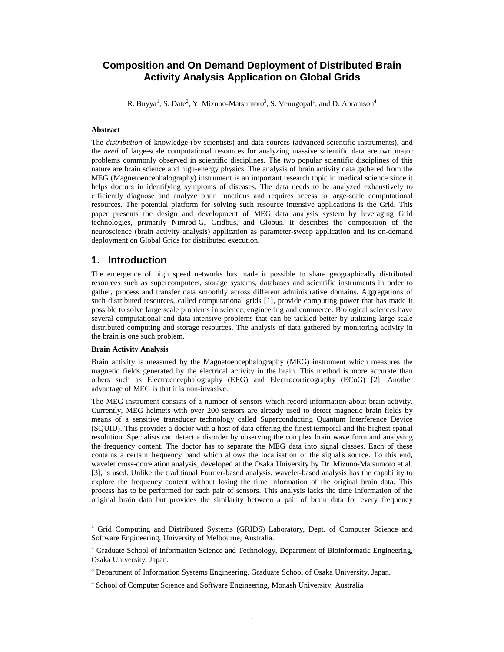## **Composition and On Demand Deployment of Distributed Brain Activity Analysis Application on Global Grids**

R. Buyya<sup>1</sup>, S. Date<sup>2</sup>, Y. Mizuno-Matsumoto<sup>3</sup>, S. Venugopal<sup>1</sup>, and D. Abramson<sup>4</sup>

### **Abstract**

The *distribution* of knowledge (by scientists) and data sources (advanced scientific instruments), and the *need* of large-scale computational resources for analyzing massive scientific data are two major problems commonly observed in scientific disciplines. The two popular scientific disciplines of this nature are brain science and high-energy physics. The analysis of brain activity data gathered from the MEG (Magnetoencephalography) instrument is an important research topic in medical science since it helps doctors in identifying symptoms of diseases. The data needs to be analyzed exhaustively to efficiently diagnose and analyze brain functions and requires access to large-scale computational resources. The potential platform for solving such resource intensive applications is the Grid. This paper presents the design and development of MEG data analysis system by leveraging Grid technologies, primarily Nimrod-G, Gridbus, and Globus. It describes the composition of the neuroscience (brain activity analysis) application as parameter-sweep application and its on-demand deployment on Global Grids for distributed execution.

## **1. Introduction**

The emergence of high speed networks has made it possible to share geographically distributed resources such as supercomputers, storage systems, databases and scientific instruments in order to gather, process and transfer data smoothly across different administrative domains. Aggregations of such distributed resources, called computational grids [1], provide computing power that has made it possible to solve large scale problems in science, engineering and commerce. Biological sciences have several computational and data intensive problems that can be tackled better by utilizing large-scale distributed computing and storage resources. The analysis of data gathered by monitoring activity in the brain is one such problem.

#### **Brain Activity Analysis**

 $\overline{\phantom{a}}$ 

Brain activity is measured by the Magnetoencephalography (MEG) instrument which measures the magnetic fields generated by the electrical activity in the brain. This method is more accurate than others such as Electroencephalography (EEG) and Electrocorticography (ECoG) [2]. Another advantage of MEG is that it is non-invasive.

The MEG instrument consists of a number of sensors which record information about brain activity. Currently, MEG helmets with over 200 sensors are already used to detect magnetic brain fields by means of a sensitive transducer technology called Superconducting Quantum Interference Device (SQUID). This provides a doctor with a host of data offering the finest temporal and the highest spatial resolution. Specialists can detect a disorder by observing the complex brain wave form and analysing the frequency content. The doctor has to separate the MEG data into signal classes. Each of these contains a certain frequency band which allows the localisation of the signal's source. To this end, wavelet cross-correlation analysis, developed at the Osaka University by Dr. Mizuno-Matsumoto et al. [3], is used. Unlike the traditional Fourier-based analysis, wavelet-based analysis has the capability to explore the frequency content without losing the time information of the original brain data. This process has to be performed for each pair of sensors. This analysis lacks the time information of the original brain data but provides the similarity between a pair of brain data for every frequency

<sup>&</sup>lt;sup>1</sup> Grid Computing and Distributed Systems (GRIDS) Laboratory, Dept. of Computer Science and Software Engineering, University of Melbourne, Australia.

<sup>&</sup>lt;sup>2</sup> Graduate School of Information Science and Technology, Department of Bioinformatic Engineering, Osaka University, Japan.

<sup>3</sup> Department of Information Systems Engineering, Graduate School of Osaka University, Japan.

<sup>4</sup> School of Computer Science and Software Engineering, Monash University, Australia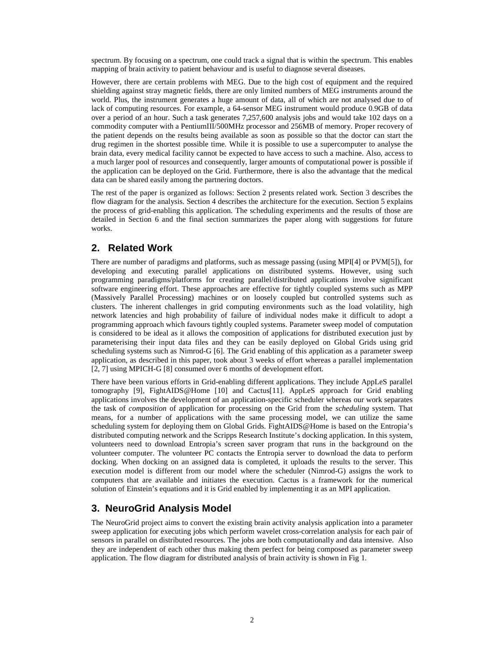spectrum. By focusing on a spectrum, one could track a signal that is within the spectrum. This enables mapping of brain activity to patient behaviour and is useful to diagnose several diseases.

However, there are certain problems with MEG. Due to the high cost of equipment and the required shielding against stray magnetic fields, there are only limited numbers of MEG instruments around the world. Plus, the instrument generates a huge amount of data, all of which are not analysed due to of lack of computing resources. For example, a 64-sensor MEG instrument would produce 0.9GB of data over a period of an hour. Such a task generates 7,257,600 analysis jobs and would take 102 days on a commodity computer with a PentiumIII/500MHz processor and 256MB of memory. Proper recovery of the patient depends on the results being available as soon as possible so that the doctor can start the drug regimen in the shortest possible time. While it is possible to use a supercomputer to analyse the brain data, every medical facility cannot be expected to have access to such a machine. Also, access to a much larger pool of resources and consequently, larger amounts of computational power is possible if the application can be deployed on the Grid. Furthermore, there is also the advantage that the medical data can be shared easily among the partnering doctors.

The rest of the paper is organized as follows: Section 2 presents related work. Section 3 describes the flow diagram for the analysis. Section 4 describes the architecture for the execution. Section 5 explains the process of grid-enabling this application. The scheduling experiments and the results of those are detailed in Section 6 and the final section summarizes the paper along with suggestions for future works.

## **2. Related Work**

There are number of paradigms and platforms, such as message passing (using MPI[4] or PVM[5]), for developing and executing parallel applications on distributed systems. However, using such programming paradigms/platforms for creating parallel/distributed applications involve significant software engineering effort. These approaches are effective for tightly coupled systems such as MPP (Massively Parallel Processing) machines or on loosely coupled but controlled systems such as clusters. The inherent challenges in grid computing environments such as the load volatility, high network latencies and high probability of failure of individual nodes make it difficult to adopt a programming approach which favours tightly coupled systems. Parameter sweep model of computation is considered to be ideal as it allows the composition of applications for distributed execution just by parameterising their input data files and they can be easily deployed on Global Grids using grid scheduling systems such as Nimrod-G [6]. The Grid enabling of this application as a parameter sweep application, as described in this paper, took about 3 weeks of effort whereas a parallel implementation [2, 7] using MPICH-G [8] consumed over 6 months of development effort.

There have been various efforts in Grid-enabling different applications. They include AppLeS parallel tomography [9], FightAIDS@Home [10] and Cactus[11]. AppLeS approach for Grid enabling applications involves the development of an application-specific scheduler whereas our work separates the task of *composition* of application for processing on the Grid from the *scheduling* system. That means, for a number of applications with the same processing model, we can utilize the same scheduling system for deploying them on Global Grids. FightAIDS@Home is based on the Entropia's distributed computing network and the Scripps Research Institute's docking application. In this system, volunteers need to download Entropia's screen saver program that runs in the background on the volunteer computer. The volunteer PC contacts the Entropia server to download the data to perform docking. When docking on an assigned data is completed, it uploads the results to the server. This execution model is different from our model where the scheduler (Nimrod-G) assigns the work to computers that are available and initiates the execution. Cactus is a framework for the numerical solution of Einstein's equations and it is Grid enabled by implementing it as an MPI application.

# **3. NeuroGrid Analysis Model**

The NeuroGrid project aims to convert the existing brain activity analysis application into a parameter sweep application for executing jobs which perform wavelet cross-correlation analysis for each pair of sensors in parallel on distributed resources. The jobs are both computationally and data intensive. Also they are independent of each other thus making them perfect for being composed as parameter sweep application. The flow diagram for distributed analysis of brain activity is shown in Fig 1.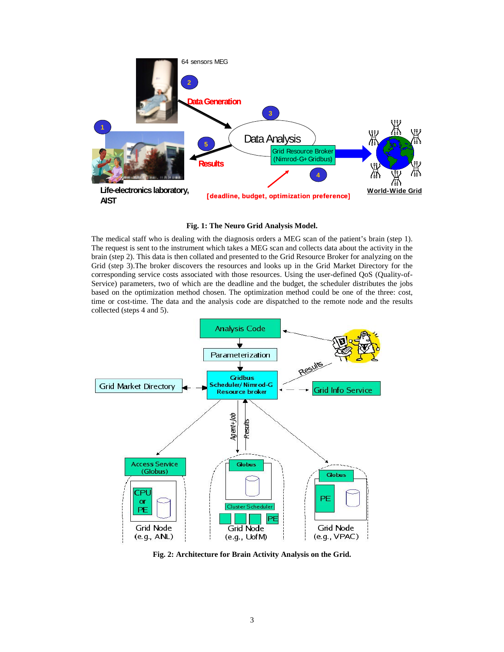

**Fig. 1: The Neuro Grid Analysis Model.**

The medical staff who is dealing with the diagnosis orders a MEG scan of the patient's brain (step 1). The request is sent to the instrument which takes a MEG scan and collects data about the activity in the brain (step 2). This data is then collated and presented to the Grid Resource Broker for analyzing on the Grid (step 3).The broker discovers the resources and looks up in the Grid Market Directory for the corresponding service costs associated with those resources. Using the user-defined QoS (Quality-of-Service) parameters, two of which are the deadline and the budget, the scheduler distributes the jobs based on the optimization method chosen. The optimization method could be one of the three: cost, time or cost-time. The data and the analysis code are dispatched to the remote node and the results collected (steps 4 and 5).



**Fig. 2: Architecture for Brain Activity Analysis on the Grid.**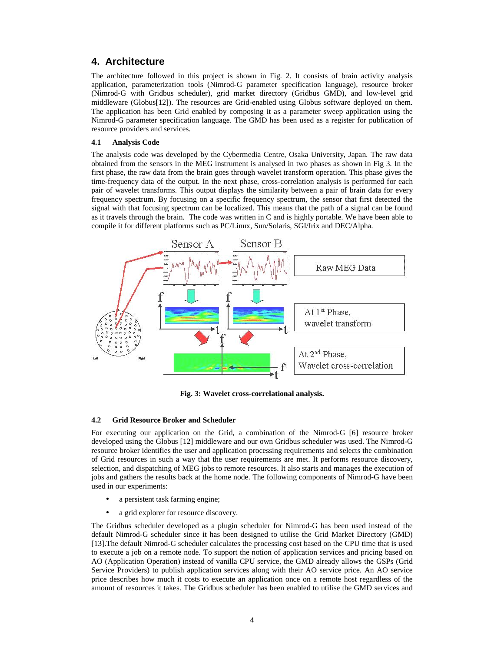### **4. Architecture**

The architecture followed in this project is shown in Fig. 2. It consists of brain activity analysis application, parameterization tools (Nimrod-G parameter specification language), resource broker (Nimrod-G with Gridbus scheduler), grid market directory (Gridbus GMD), and low-level grid middleware (Globus[12]). The resources are Grid-enabled using Globus software deployed on them. The application has been Grid enabled by composing it as a parameter sweep application using the Nimrod-G parameter specification language. The GMD has been used as a register for publication of resource providers and services.

### **4.1 Analysis Code**

The analysis code was developed by the Cybermedia Centre, Osaka University, Japan. The raw data obtained from the sensors in the MEG instrument is analysed in two phases as shown in Fig 3. In the first phase, the raw data from the brain goes through wavelet transform operation. This phase gives the time-frequency data of the output. In the next phase, cross-correlation analysis is performed for each pair of wavelet transforms. This output displays the similarity between a pair of brain data for every frequency spectrum. By focusing on a specific frequency spectrum, the sensor that first detected the signal with that focusing spectrum can be localized. This means that the path of a signal can be found as it travels through the brain. The code was written in C and is highly portable. We have been able to compile it for different platforms such as PC/Linux, Sun/Solaris, SGI/Irix and DEC/Alpha.



**Fig. 3: Wavelet cross-correlational analysis.**

### **4.2 Grid Resource Broker and Scheduler**

For executing our application on the Grid, a combination of the Nimrod-G [6] resource broker developed using the Globus [12] middleware and our own Gridbus scheduler was used. The Nimrod-G resource broker identifies the user and application processing requirements and selects the combination of Grid resources in such a way that the user requirements are met. It performs resource discovery, selection, and dispatching of MEG jobs to remote resources. It also starts and manages the execution of jobs and gathers the results back at the home node. The following components of Nimrod-G have been used in our experiments:

- a persistent task farming engine;
- a grid explorer for resource discovery.

The Gridbus scheduler developed as a plugin scheduler for Nimrod-G has been used instead of the default Nimrod-G scheduler since it has been designed to utilise the Grid Market Directory (GMD) [13].The default Nimrod-G scheduler calculates the processing cost based on the CPU time that is used to execute a job on a remote node. To support the notion of application services and pricing based on AO (Application Operation) instead of vanilla CPU service, the GMD already allows the GSPs (Grid Service Providers) to publish application services along with their AO service price. An AO service price describes how much it costs to execute an application once on a remote host regardless of the amount of resources it takes. The Gridbus scheduler has been enabled to utilise the GMD services and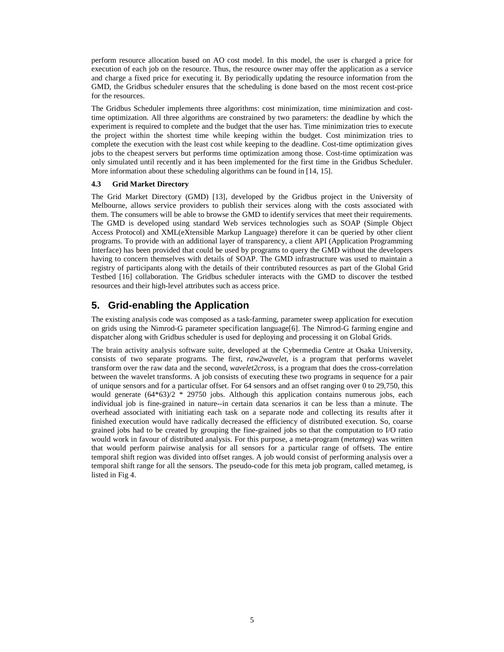perform resource allocation based on AO cost model. In this model, the user is charged a price for execution of each job on the resource. Thus, the resource owner may offer the application as a service and charge a fixed price for executing it. By periodically updating the resource information from the GMD, the Gridbus scheduler ensures that the scheduling is done based on the most recent cost-price for the resources.

The Gridbus Scheduler implements three algorithms: cost minimization, time minimization and costtime optimization. All three algorithms are constrained by two parameters: the deadline by which the experiment is required to complete and the budget that the user has. Time minimization tries to execute the project within the shortest time while keeping within the budget. Cost minimization tries to complete the execution with the least cost while keeping to the deadline. Cost-time optimization gives jobs to the cheapest servers but performs time optimization among those. Cost-time optimization was only simulated until recently and it has been implemented for the first time in the Gridbus Scheduler. More information about these scheduling algorithms can be found in [14, 15].

### **4.3 Grid Market Directory**

The Grid Market Directory (GMD) [13], developed by the Gridbus project in the University of Melbourne, allows service providers to publish their services along with the costs associated with them. The consumers will be able to browse the GMD to identify services that meet their requirements. The GMD is developed using standard Web services technologies such as SOAP (Simple Object Access Protocol) and XML(eXtensible Markup Language) therefore it can be queried by other client programs. To provide with an additional layer of transparency, a client API (Application Programming Interface) has been provided that could be used by programs to query the GMD without the developers having to concern themselves with details of SOAP. The GMD infrastructure was used to maintain a registry of participants along with the details of their contributed resources as part of the Global Grid Testbed [16] collaboration. The Gridbus scheduler interacts with the GMD to discover the testbed resources and their high-level attributes such as access price.

## **5. Grid-enabling the Application**

The existing analysis code was composed as a task-farming, parameter sweep application for execution on grids using the Nimrod-G parameter specification language[6]. The Nimrod-G farming engine and dispatcher along with Gridbus scheduler is used for deploying and processing it on Global Grids.

The brain activity analysis software suite, developed at the Cybermedia Centre at Osaka University, consists of two separate programs. The first, *raw2wavelet*, is a program that performs wavelet transform over the raw data and the second, *wavelet2cross,* is a program that does the cross-correlation between the wavelet transforms. A job consists of executing these two programs in sequence for a pair of unique sensors and for a particular offset. For 64 sensors and an offset ranging over 0 to 29,750, this would generate (64\*63)/2 \* 29750 jobs. Although this application contains numerous jobs, each individual job is fine-grained in nature--in certain data scenarios it can be less than a minute. The overhead associated with initiating each task on a separate node and collecting its results after it finished execution would have radically decreased the efficiency of distributed execution. So, coarse grained jobs had to be created by grouping the fine-grained jobs so that the computation to I/O ratio would work in favour of distributed analysis. For this purpose, a meta-program (*metameg*) was written that would perform pairwise analysis for all sensors for a particular range of offsets. The entire temporal shift region was divided into offset ranges. A job would consist of performing analysis over a temporal shift range for all the sensors. The pseudo-code for this meta job program, called metameg, is listed in Fig 4.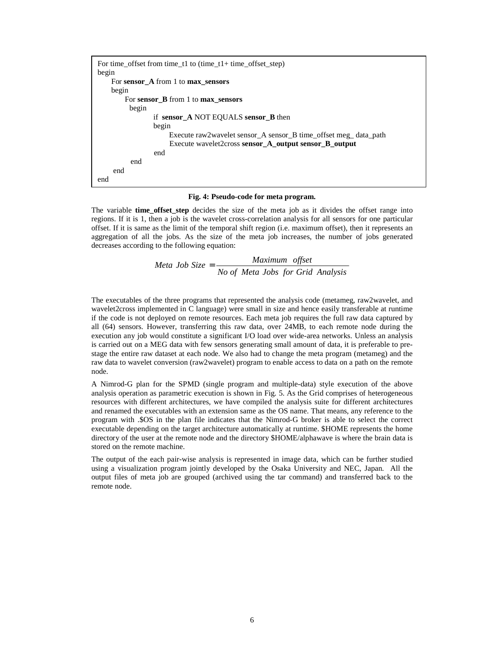```
For time_offset from time_t1 to (time_t1+ time_offset_step)
begin
    For sensor_A from 1 to max_sensors
    begin
        For sensor_B from 1 to max_sensors
         begin
                if sensor_A NOT EQUALS sensor_B then
                begin
                     Execute raw2wavelet sensor_A sensor_B time_offset meg_ data_path
                     Execute wavelet2cross sensor_A_output sensor_B_output
                end
         end
    end
end
```
#### **Fig. 4: Pseudo-code for meta program.**

The variable **time offset step** decides the size of the meta job as it divides the offset range into regions. If it is 1, then a job is the wavelet cross-correlation analysis for all sensors for one particular offset. If it is same as the limit of the temporal shift region (i.e. maximum offset), then it represents an aggregation of all the jobs. As the size of the meta job increases, the number of jobs generated decreases according to the following equation:

$$
Meta Job Size = \frac{Maximum \ offset}{No \ of \ Meta \ Jobs \ for \ Grid \ Analysis}
$$

The executables of the three programs that represented the analysis code (metameg, raw2wavelet, and wavelet2cross implemented in C language) were small in size and hence easily transferable at runtime if the code is not deployed on remote resources. Each meta job requires the full raw data captured by all (64) sensors. However, transferring this raw data, over 24MB, to each remote node during the execution any job would constitute a significant I/O load over wide-area networks. Unless an analysis is carried out on a MEG data with few sensors generating small amount of data, it is preferable to prestage the entire raw dataset at each node. We also had to change the meta program (metameg) and the raw data to wavelet conversion (raw2wavelet) program to enable access to data on a path on the remote node.

A Nimrod-G plan for the SPMD (single program and multiple-data) style execution of the above analysis operation as parametric execution is shown in Fig. 5. As the Grid comprises of heterogeneous resources with different architectures, we have compiled the analysis suite for different architectures and renamed the executables with an extension same as the OS name. That means, any reference to the program with .\$OS in the plan file indicates that the Nimrod-G broker is able to select the correct executable depending on the target architecture automatically at runtime. \$HOME represents the home directory of the user at the remote node and the directory \$HOME/alphawave is where the brain data is stored on the remote machine.

The output of the each pair-wise analysis is represented in image data, which can be further studied using a visualization program jointly developed by the Osaka University and NEC, Japan. All the output files of meta job are grouped (archived using the tar command) and transferred back to the remote node.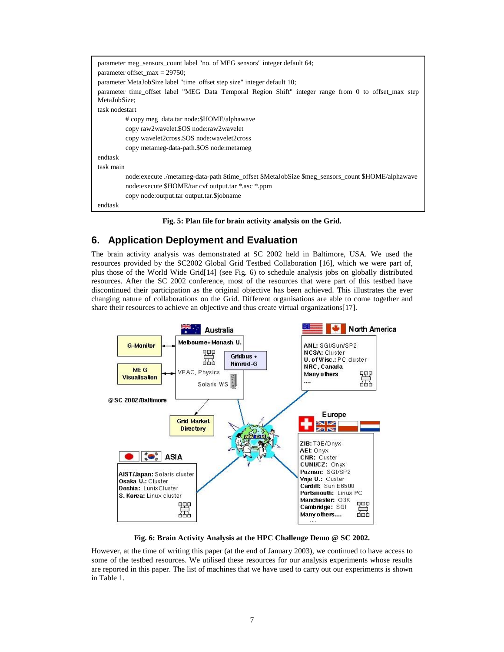```
parameter meg_sensors_count label "no. of MEG sensors" integer default 64;
parameter offset_max = 29750;
parameter MetaJobSize label "time_offset step size" integer default 10;
parameter time_offset label "MEG Data Temporal Region Shift" integer range from 0 to offset_max step
MetaJobSize;
task nodestart
         # copy meg_data.tar node:$HOME/alphawave
        copy raw2wavelet.$OS node:raw2wavelet
         copy wavelet2cross.$OS node:wavelet2cross
         copy metameg-data-path.$OS node:metameg
endtask
task main
         node:execute ./metameg-data-path $time_offset $MetaJobSize $meg_sensors_count $HOME/alphawave
         node:execute $HOME/tar cvf output.tar *.asc *.ppm
         copy node:output.tar output.tar.$jobname
endtask
```
**Fig. 5: Plan file for brain activity analysis on the Grid.**

# **6. Application Deployment and Evaluation**

The brain activity analysis was demonstrated at SC 2002 held in Baltimore, USA. We used the resources provided by the SC2002 Global Grid Testbed Collaboration [16], which we were part of, plus those of the World Wide Grid[14] (see Fig. 6) to schedule analysis jobs on globally distributed resources. After the SC 2002 conference, most of the resources that were part of this testbed have discontinued their participation as the original objective has been achieved. This illustrates the ever changing nature of collaborations on the Grid. Different organisations are able to come together and share their resources to achieve an objective and thus create virtual organizations[17].



**Fig. 6: Brain Activity Analysis at the HPC Challenge Demo @ SC 2002.**

However, at the time of writing this paper (at the end of January 2003), we continued to have access to some of the testbed resources. We utilised these resources for our analysis experiments whose results are reported in this paper. The list of machines that we have used to carry out our experiments is shown in Table 1.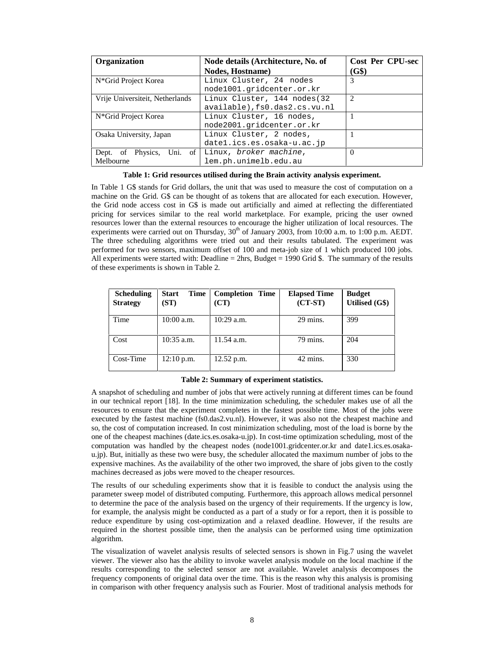| Organization                              | Node details (Architecture, No. of<br><b>Nodes, Hostname)</b> | Cost Per CPU-sec<br>(G\$)   |
|-------------------------------------------|---------------------------------------------------------------|-----------------------------|
| N <sup>*</sup> Grid Project Korea         | Linux Cluster, 24 nodes<br>node1001.gridcenter.or.kr          | 3                           |
| Vrije Universiteit, Netherlands           | Linux Cluster, 144 nodes (32<br>available), fs0.das2.cs.vu.nl | $\mathcal{D}_{\mathcal{L}}$ |
| N <sup>*</sup> Grid Project Korea         | Linux Cluster, 16 nodes,<br>node2001.gridcenter.or.kr         |                             |
| Osaka University, Japan                   | Linux Cluster, 2 nodes,<br>datel.ics.es.osaka-u.ac.jp         |                             |
| Uni. of<br>Dept. of Physics,<br>Melbourne | Linux, <i>broker</i> machine,<br>lem.ph.unimelb.edu.au        | $\Omega$                    |

### **Table 1: Grid resources utilised during the Brain activity analysis experiment.**

In Table 1 G\$ stands for Grid dollars, the unit that was used to measure the cost of computation on a machine on the Grid. G\$ can be thought of as tokens that are allocated for each execution. However, the Grid node access cost in G\$ is made out artificially and aimed at reflecting the differentiated pricing for services similar to the real world marketplace. For example, pricing the user owned resources lower than the external resources to encourage the higher utilization of local resources. The experiments were carried out on Thursday,  $30<sup>th</sup>$  of January 2003, from 10:00 a.m. to 1:00 p.m. AEDT. The three scheduling algorithms were tried out and their results tabulated. The experiment was performed for two sensors, maximum offset of 100 and meta-job size of 1 which produced 100 jobs. All experiments were started with: Deadline = 2hrs, Budget = 1990 Grid \$. The summary of the results of these experiments is shown in Table 2.

| <b>Scheduling</b><br><b>Strategy</b> | <b>Time</b><br><b>Start</b><br>(ST) | Completion<br>Time<br>(CT) | <b>Elapsed Time</b><br>$(CT-ST)$ | <b>Budget</b><br><b>Utilised (G\$)</b> |
|--------------------------------------|-------------------------------------|----------------------------|----------------------------------|----------------------------------------|
| Time                                 | $10:00$ a.m.                        | $10:29$ a.m.               | 29 mins.                         | 399                                    |
| Cost                                 | $10:35$ a.m.                        | $11.54$ a.m.               | 79 mins.                         | 204                                    |
| Cost-Time                            | $12:10$ p.m.                        | 12.52 p.m.                 | 42 mins.                         | 330                                    |

#### **Table 2: Summary of experiment statistics.**

A snapshot of scheduling and number of jobs that were actively running at different times can be found in our technical report [18]. In the time minimization scheduling, the scheduler makes use of all the resources to ensure that the experiment completes in the fastest possible time. Most of the jobs were executed by the fastest machine (fs0.das2.vu.nl). However, it was also not the cheapest machine and so, the cost of computation increased. In cost minimization scheduling, most of the load is borne by the one of the cheapest machines (date.ics.es.osaka-u.jp). In cost-time optimization scheduling, most of the computation was handled by the cheapest nodes (node1001.gridcenter.or.kr and date1.ics.es.osakau.jp). But, initially as these two were busy, the scheduler allocated the maximum number of jobs to the expensive machines. As the availability of the other two improved, the share of jobs given to the costly machines decreased as jobs were moved to the cheaper resources.

The results of our scheduling experiments show that it is feasible to conduct the analysis using the parameter sweep model of distributed computing. Furthermore, this approach allows medical personnel to determine the pace of the analysis based on the urgency of their requirements. If the urgency is low, for example, the analysis might be conducted as a part of a study or for a report, then it is possible to reduce expenditure by using cost-optimization and a relaxed deadline. However, if the results are required in the shortest possible time, then the analysis can be performed using time optimization algorithm.

The visualization of wavelet analysis results of selected sensors is shown in Fig.7 using the wavelet viewer. The viewer also has the ability to invoke wavelet analysis module on the local machine if the results corresponding to the selected sensor are not available. Wavelet analysis decomposes the frequency components of original data over the time. This is the reason why this analysis is promising in comparison with other frequency analysis such as Fourier. Most of traditional analysis methods for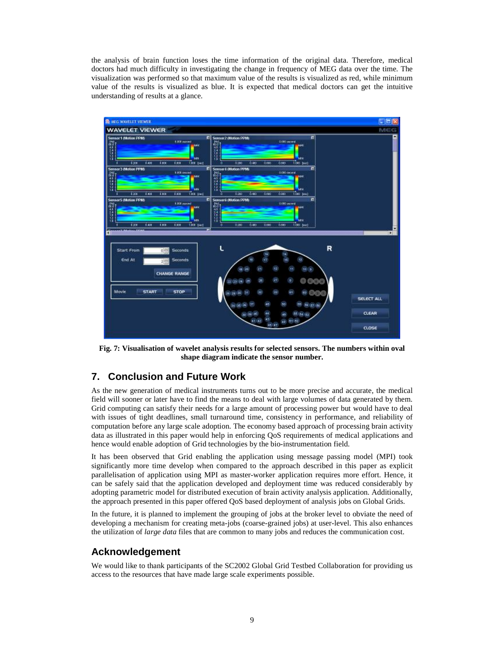the analysis of brain function loses the time information of the original data. Therefore, medical doctors had much difficulty in investigating the change in frequency of MEG data over the time. The visualization was performed so that maximum value of the results is visualized as red, while minimum value of the results is visualized as blue. It is expected that medical doctors can get the intuitive understanding of results at a glance.



**Fig. 7: Visualisation of wavelet analysis results for selected sensors. The numbers within oval shape diagram indicate the sensor number.**

# **7. Conclusion and Future Work**

As the new generation of medical instruments turns out to be more precise and accurate, the medical field will sooner or later have to find the means to deal with large volumes of data generated by them. Grid computing can satisfy their needs for a large amount of processing power but would have to deal with issues of tight deadlines, small turnaround time, consistency in performance, and reliability of computation before any large scale adoption. The economy based approach of processing brain activity data as illustrated in this paper would help in enforcing QoS requirements of medical applications and hence would enable adoption of Grid technologies by the bio-instrumentation field.

It has been observed that Grid enabling the application using message passing model (MPI) took significantly more time develop when compared to the approach described in this paper as explicit parallelisation of application using MPI as master-worker application requires more effort. Hence, it can be safely said that the application developed and deployment time was reduced considerably by adopting parametric model for distributed execution of brain activity analysis application. Additionally, the approach presented in this paper offered QoS based deployment of analysis jobs on Global Grids.

In the future, it is planned to implement the grouping of jobs at the broker level to obviate the need of developing a mechanism for creating meta-jobs (coarse-grained jobs) at user-level. This also enhances the utilization of *large data* files that are common to many jobs and reduces the communication cost.

## **Acknowledgement**

We would like to thank participants of the SC2002 Global Grid Testbed Collaboration for providing us access to the resources that have made large scale experiments possible.